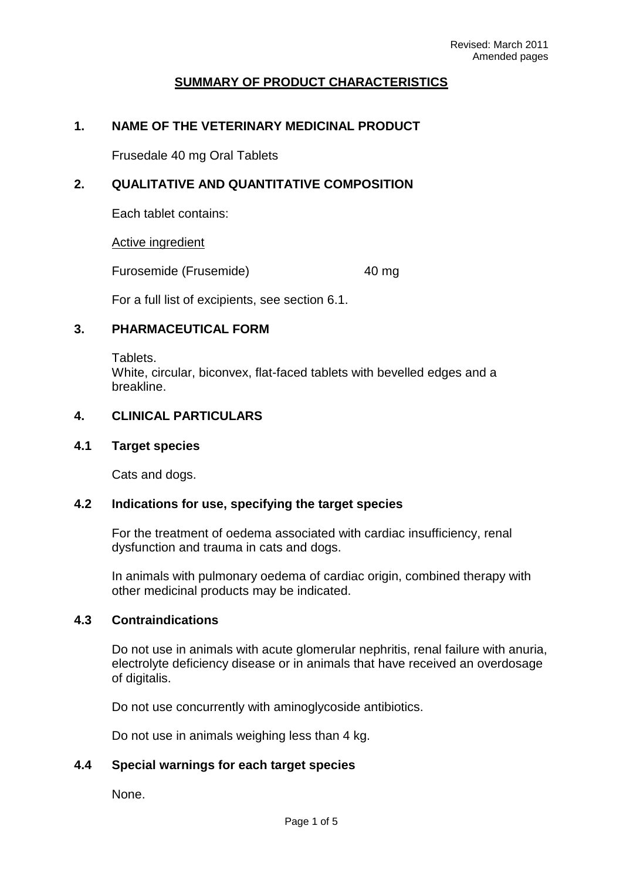# **SUMMARY OF PRODUCT CHARACTERISTICS**

# **1. NAME OF THE VETERINARY MEDICINAL PRODUCT**

Frusedale 40 mg Oral Tablets

# **2. QUALITATIVE AND QUANTITATIVE COMPOSITION**

Each tablet contains:

Active ingredient

Furosemide (Frusemide) 40 mg

For a full list of excipients, see section 6.1.

### **3. PHARMACEUTICAL FORM**

Tablets. White, circular, biconvex, flat-faced tablets with bevelled edges and a breakline.

### **4. CLINICAL PARTICULARS**

# **4.1 Target species**

Cats and dogs.

# **4.2 Indications for use, specifying the target species**

For the treatment of oedema associated with cardiac insufficiency, renal dysfunction and trauma in cats and dogs.

In animals with pulmonary oedema of cardiac origin, combined therapy with other medicinal products may be indicated.

#### **4.3 Contraindications**

Do not use in animals with acute glomerular nephritis, renal failure with anuria, electrolyte deficiency disease or in animals that have received an overdosage of digitalis.

Do not use concurrently with aminoglycoside antibiotics.

Do not use in animals weighing less than 4 kg.

### **4.4 Special warnings for each target species**

None.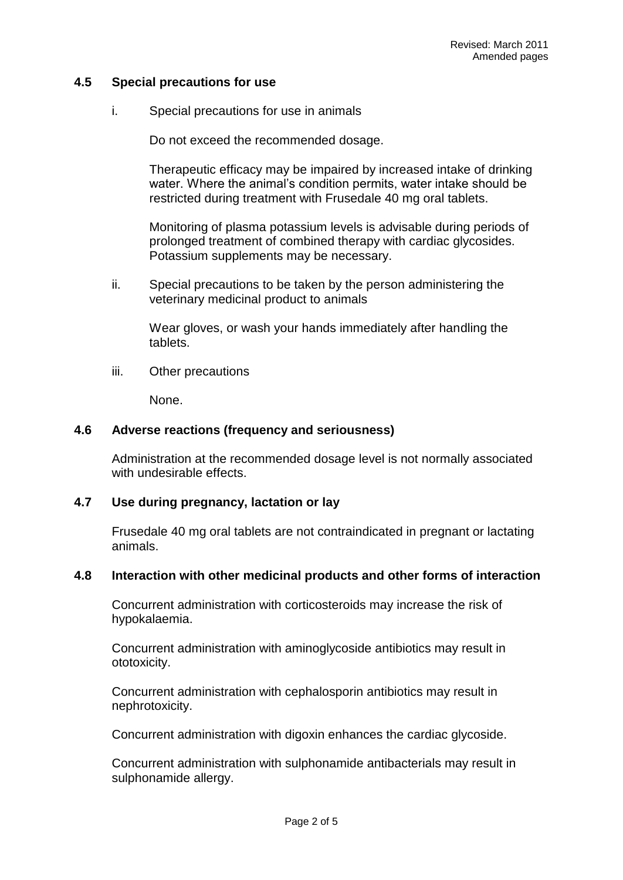# **4.5 Special precautions for use**

i. Special precautions for use in animals

Do not exceed the recommended dosage.

Therapeutic efficacy may be impaired by increased intake of drinking water. Where the animal's condition permits, water intake should be restricted during treatment with Frusedale 40 mg oral tablets.

Monitoring of plasma potassium levels is advisable during periods of prolonged treatment of combined therapy with cardiac glycosides. Potassium supplements may be necessary.

ii. Special precautions to be taken by the person administering the veterinary medicinal product to animals

Wear gloves, or wash your hands immediately after handling the tablets.

iii. Other precautions

None.

# **4.6 Adverse reactions (frequency and seriousness)**

Administration at the recommended dosage level is not normally associated with undesirable effects.

# **4.7 Use during pregnancy, lactation or lay**

Frusedale 40 mg oral tablets are not contraindicated in pregnant or lactating animals.

# **4.8 Interaction with other medicinal products and other forms of interaction**

Concurrent administration with corticosteroids may increase the risk of hypokalaemia.

Concurrent administration with aminoglycoside antibiotics may result in ototoxicity.

Concurrent administration with cephalosporin antibiotics may result in nephrotoxicity.

Concurrent administration with digoxin enhances the cardiac glycoside.

Concurrent administration with sulphonamide antibacterials may result in sulphonamide allergy.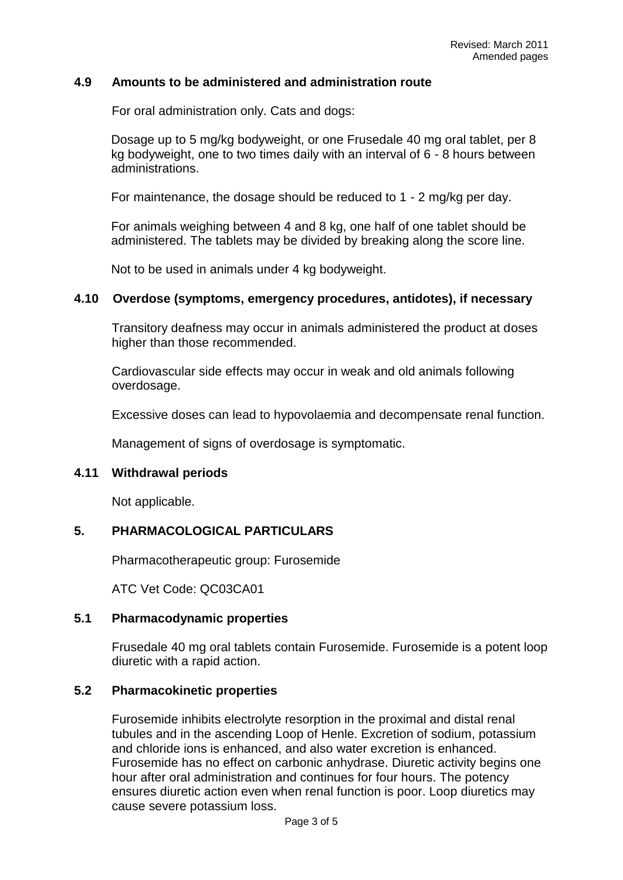## **4.9 Amounts to be administered and administration route**

For oral administration only. Cats and dogs:

Dosage up to 5 mg/kg bodyweight, or one Frusedale 40 mg oral tablet, per 8 kg bodyweight, one to two times daily with an interval of 6 - 8 hours between administrations.

For maintenance, the dosage should be reduced to 1 - 2 mg/kg per day.

For animals weighing between 4 and 8 kg, one half of one tablet should be administered. The tablets may be divided by breaking along the score line.

Not to be used in animals under 4 kg bodyweight.

### **4.10 Overdose (symptoms, emergency procedures, antidotes), if necessary**

Transitory deafness may occur in animals administered the product at doses higher than those recommended.

Cardiovascular side effects may occur in weak and old animals following overdosage.

Excessive doses can lead to hypovolaemia and decompensate renal function.

Management of signs of overdosage is symptomatic.

#### **4.11 Withdrawal periods**

Not applicable.

# **5. PHARMACOLOGICAL PARTICULARS**

Pharmacotherapeutic group: Furosemide

ATC Vet Code: QC03CA01

#### **5.1 Pharmacodynamic properties**

Frusedale 40 mg oral tablets contain Furosemide. Furosemide is a potent loop diuretic with a rapid action.

#### **5.2 Pharmacokinetic properties**

Furosemide inhibits electrolyte resorption in the proximal and distal renal tubules and in the ascending Loop of Henle. Excretion of sodium, potassium and chloride ions is enhanced, and also water excretion is enhanced. Furosemide has no effect on carbonic anhydrase. Diuretic activity begins one hour after oral administration and continues for four hours. The potency ensures diuretic action even when renal function is poor. Loop diuretics may cause severe potassium loss.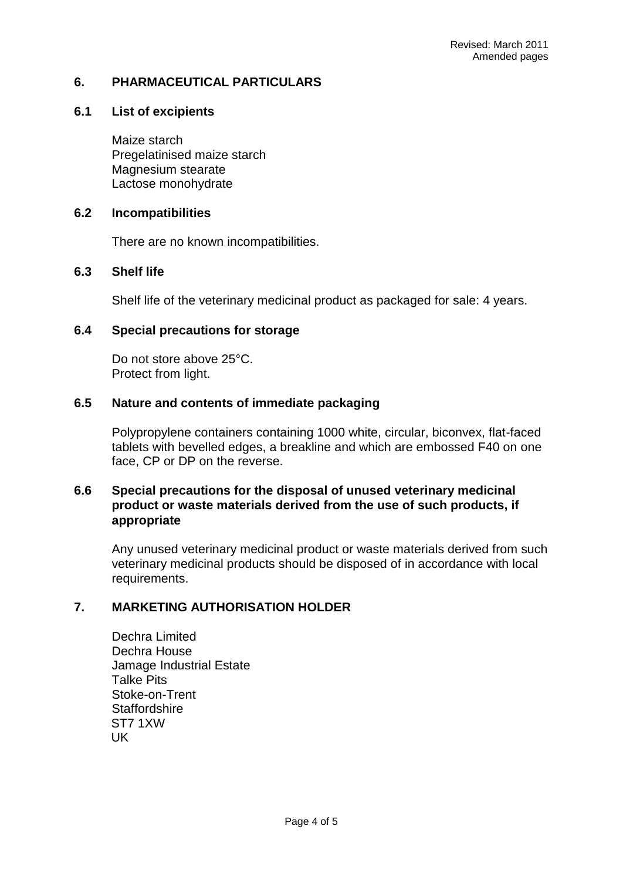# **6. PHARMACEUTICAL PARTICULARS**

# **6.1 List of excipients**

Maize starch Pregelatinised maize starch Magnesium stearate Lactose monohydrate

# **6.2 Incompatibilities**

There are no known incompatibilities.

### **6.3 Shelf life**

Shelf life of the veterinary medicinal product as packaged for sale: 4 years.

### **6.4 Special precautions for storage**

Do not store above 25°C. Protect from light.

# **6.5 Nature and contents of immediate packaging**

Polypropylene containers containing 1000 white, circular, biconvex, flat-faced tablets with bevelled edges, a breakline and which are embossed F40 on one face, CP or DP on the reverse.

## **6.6 Special precautions for the disposal of unused veterinary medicinal product or waste materials derived from the use of such products, if appropriate**

Any unused veterinary medicinal product or waste materials derived from such veterinary medicinal products should be disposed of in accordance with local requirements.

# **7. MARKETING AUTHORISATION HOLDER**

Dechra Limited Dechra House Jamage Industrial Estate Talke Pits Stoke-on-Trent **Staffordshire** ST7 1XW UK